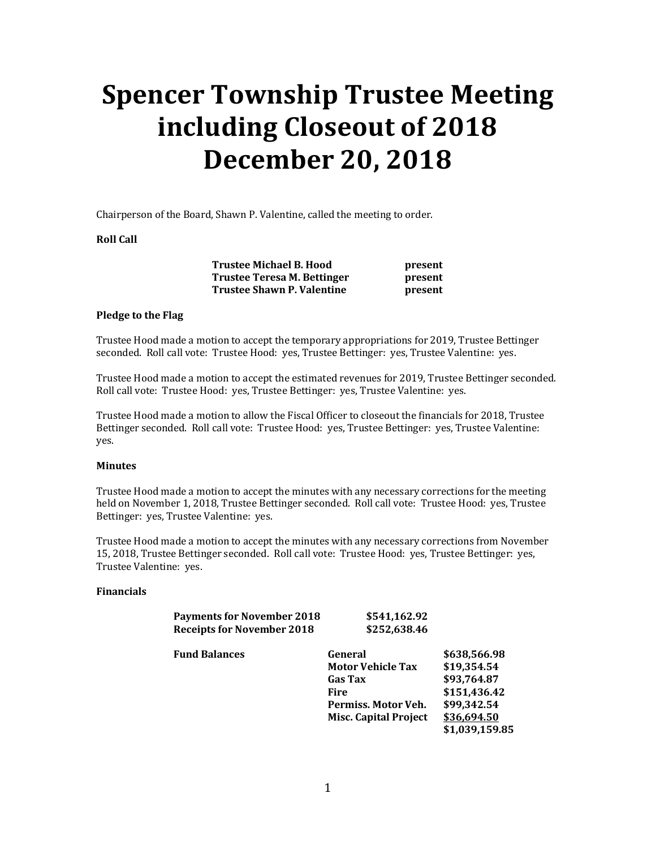# **Spencer Township Trustee Meeting including Closeout of 2018 December 20, 2018**

Chairperson of the Board, Shawn P. Valentine, called the meeting to order.

#### **Roll Call**

 **Trustee Michael B. Hood present Trustee Teresa M. Bettinger by resent Trustee Shawn P. Valentine present** 

#### **Pledge to the Flag**

Trustee Hood made a motion to accept the temporary appropriations for 2019, Trustee Bettinger seconded. Roll call vote: Trustee Hood: yes, Trustee Bettinger: yes, Trustee Valentine: yes.

Trustee Hood made a motion to accept the estimated revenues for 2019, Trustee Bettinger seconded. Roll call vote: Trustee Hood: yes, Trustee Bettinger: yes, Trustee Valentine: yes.

Trustee Hood made a motion to allow the Fiscal Officer to closeout the financials for 2018, Trustee Bettinger seconded. Roll call vote: Trustee Hood: yes, Trustee Bettinger: yes, Trustee Valentine: yes.

#### **Minutes**

Trustee Hood made a motion to accept the minutes with any necessary corrections for the meeting held on November 1, 2018, Trustee Bettinger seconded. Roll call vote: Trustee Hood: yes, Trustee Bettinger: yes, Trustee Valentine: yes.

Trustee Hood made a motion to accept the minutes with any necessary corrections from November 15, 2018, Trustee Bettinger seconded. Roll call vote: Trustee Hood: yes, Trustee Bettinger: yes, Trustee Valentine: yes.

#### **Financials**

| <b>Payments for November 2018</b> | \$541,162.92 |
|-----------------------------------|--------------|
| <b>Receipts for November 2018</b> | \$252,638.46 |

 **Fund Balances General \$638,566.98** 

| <b>Motor Vehicle Tax</b>     | \$19.354.54    |
|------------------------------|----------------|
| <b>Gas Tax</b>               | \$93,764.87    |
| <b>Fire</b>                  | \$151,436.42   |
| Permiss. Motor Veh.          | \$99,342.54    |
| <b>Misc. Capital Project</b> | \$36,694.50    |
|                              | \$1,039,159.85 |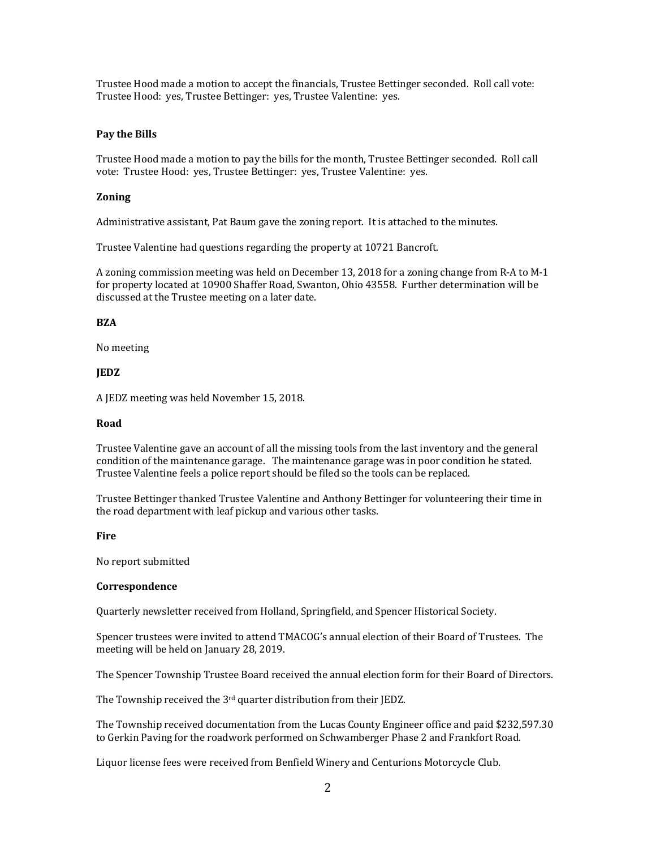Trustee Hood made a motion to accept the financials, Trustee Bettinger seconded. Roll call vote: Trustee Hood: yes, Trustee Bettinger: yes, Trustee Valentine: yes.

#### **Pay the Bills**

Trustee Hood made a motion to pay the bills for the month, Trustee Bettinger seconded. Roll call vote: Trustee Hood: yes, Trustee Bettinger: yes, Trustee Valentine: yes.

#### **Zoning**

Administrative assistant, Pat Baum gave the zoning report. It is attached to the minutes.

Trustee Valentine had questions regarding the property at 10721 Bancroft.

A zoning commission meeting was held on December 13, 2018 for a zoning change from R-A to M-1 for property located at 10900 Shaffer Road, Swanton, Ohio 43558. Further determination will be discussed at the Trustee meeting on a later date.

#### **BZA**

No meeting

#### **JEDZ**

A JEDZ meeting was held November 15, 2018.

#### **Road**

Trustee Valentine gave an account of all the missing tools from the last inventory and the general condition of the maintenance garage. The maintenance garage was in poor condition he stated. Trustee Valentine feels a police report should be filed so the tools can be replaced.

Trustee Bettinger thanked Trustee Valentine and Anthony Bettinger for volunteering their time in the road department with leaf pickup and various other tasks.

#### **Fire**

No report submitted

#### **Correspondence**

Quarterly newsletter received from Holland, Springfield, and Spencer Historical Society.

Spencer trustees were invited to attend TMACOG's annual election of their Board of Trustees. The meeting will be held on January 28, 2019.

The Spencer Township Trustee Board received the annual election form for their Board of Directors.

The Township received the 3<sup>rd</sup> quarter distribution from their JEDZ.

The Township received documentation from the Lucas County Engineer office and paid \$232,597.30 to Gerkin Paving for the roadwork performed on Schwamberger Phase 2 and Frankfort Road.

Liquor license fees were received from Benfield Winery and Centurions Motorcycle Club.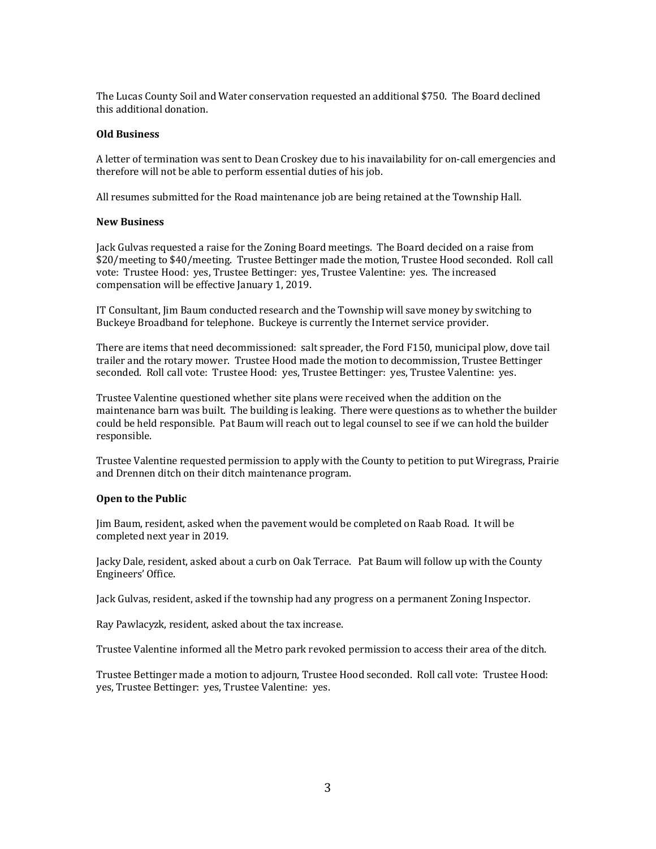The Lucas County Soil and Water conservation requested an additional \$750. The Board declined this additional donation.

#### **Old Business**

A letter of termination was sent to Dean Croskey due to his inavailability for on-call emergencies and therefore will not be able to perform essential duties of his job.

All resumes submitted for the Road maintenance job are being retained at the Township Hall.

#### **New Business**

Jack Gulvas requested a raise for the Zoning Board meetings. The Board decided on a raise from \$20/meeting to \$40/meeting. Trustee Bettinger made the motion, Trustee Hood seconded. Roll call vote: Trustee Hood: yes, Trustee Bettinger: yes, Trustee Valentine: yes. The increased compensation will be effective January 1, 2019.

IT Consultant, Jim Baum conducted research and the Township will save money by switching to Buckeye Broadband for telephone. Buckeye is currently the Internet service provider.

There are items that need decommissioned: salt spreader, the Ford F150, municipal plow, dove tail trailer and the rotary mower. Trustee Hood made the motion to decommission, Trustee Bettinger seconded. Roll call vote: Trustee Hood: yes, Trustee Bettinger: yes, Trustee Valentine: yes.

Trustee Valentine questioned whether site plans were received when the addition on the maintenance barn was built. The building is leaking. There were questions as to whether the builder could be held responsible. Pat Baum will reach out to legal counsel to see if we can hold the builder responsible.

Trustee Valentine requested permission to apply with the County to petition to put Wiregrass, Prairie and Drennen ditch on their ditch maintenance program.

#### **Open to the Public**

Jim Baum, resident, asked when the pavement would be completed on Raab Road. It will be completed next year in 2019.

Jacky Dale, resident, asked about a curb on Oak Terrace. Pat Baum will follow up with the County Engineers' Office.

Jack Gulvas, resident, asked if the township had any progress on a permanent Zoning Inspector.

Ray Pawlacyzk, resident, asked about the tax increase.

Trustee Valentine informed all the Metro park revoked permission to access their area of the ditch.

Trustee Bettinger made a motion to adjourn, Trustee Hood seconded. Roll call vote: Trustee Hood: yes, Trustee Bettinger: yes, Trustee Valentine: yes.